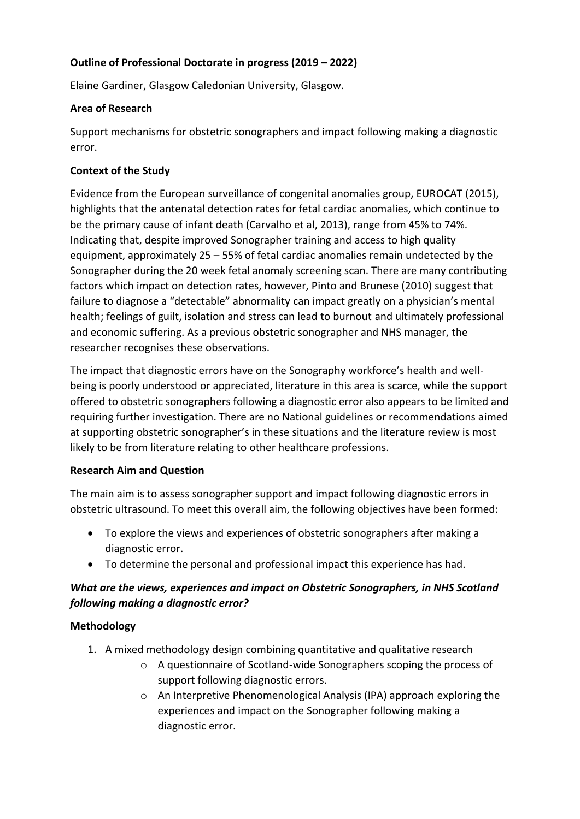## **Outline of Professional Doctorate in progress (2019 – 2022)**

Elaine Gardiner, Glasgow Caledonian University, Glasgow.

#### **Area of Research**

Support mechanisms for obstetric sonographers and impact following making a diagnostic error.

### **Context of the Study**

Evidence from the European surveillance of congenital anomalies group, EUROCAT (2015), highlights that the antenatal detection rates for fetal cardiac anomalies, which continue to be the primary cause of infant death (Carvalho et al, 2013), range from 45% to 74%. Indicating that, despite improved Sonographer training and access to high quality equipment, approximately 25 – 55% of fetal cardiac anomalies remain undetected by the Sonographer during the 20 week fetal anomaly screening scan. There are many contributing factors which impact on detection rates, however, Pinto and Brunese (2010) suggest that failure to diagnose a "detectable" abnormality can impact greatly on a physician's mental health; feelings of guilt, isolation and stress can lead to burnout and ultimately professional and economic suffering. As a previous obstetric sonographer and NHS manager, the researcher recognises these observations.

The impact that diagnostic errors have on the Sonography workforce's health and wellbeing is poorly understood or appreciated, literature in this area is scarce, while the support offered to obstetric sonographers following a diagnostic error also appears to be limited and requiring further investigation. There are no National guidelines or recommendations aimed at supporting obstetric sonographer's in these situations and the literature review is most likely to be from literature relating to other healthcare professions.

### **Research Aim and Question**

The main aim is to assess sonographer support and impact following diagnostic errors in obstetric ultrasound. To meet this overall aim, the following objectives have been formed:

- To explore the views and experiences of obstetric sonographers after making a diagnostic error.
- To determine the personal and professional impact this experience has had.

# *What are the views, experiences and impact on Obstetric Sonographers, in NHS Scotland following making a diagnostic error?*

### **Methodology**

- 1. A mixed methodology design combining quantitative and qualitative research
	- o A questionnaire of Scotland-wide Sonographers scoping the process of support following diagnostic errors.
	- o An Interpretive Phenomenological Analysis (IPA) approach exploring the experiences and impact on the Sonographer following making a diagnostic error.